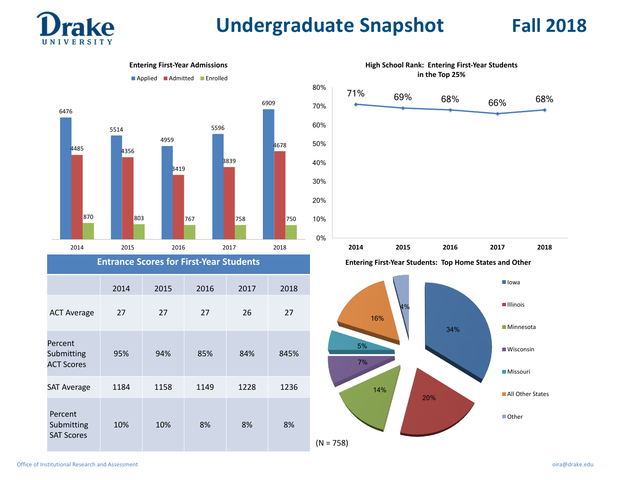

# **Undergraduate Snapshot Fall 2018**

**I**lowa

**Illinois** 

**Minnesota** 

Wisconsin

**Missouri** 

■ Other

**All Other States** 



SAT Average 1184 1158 1149 1228 1236

10% 10% 8% 8% 8%

**ACT Scores** 

Percent Submitting **SAT Scores** 

20%

14%

 $(N = 758)$